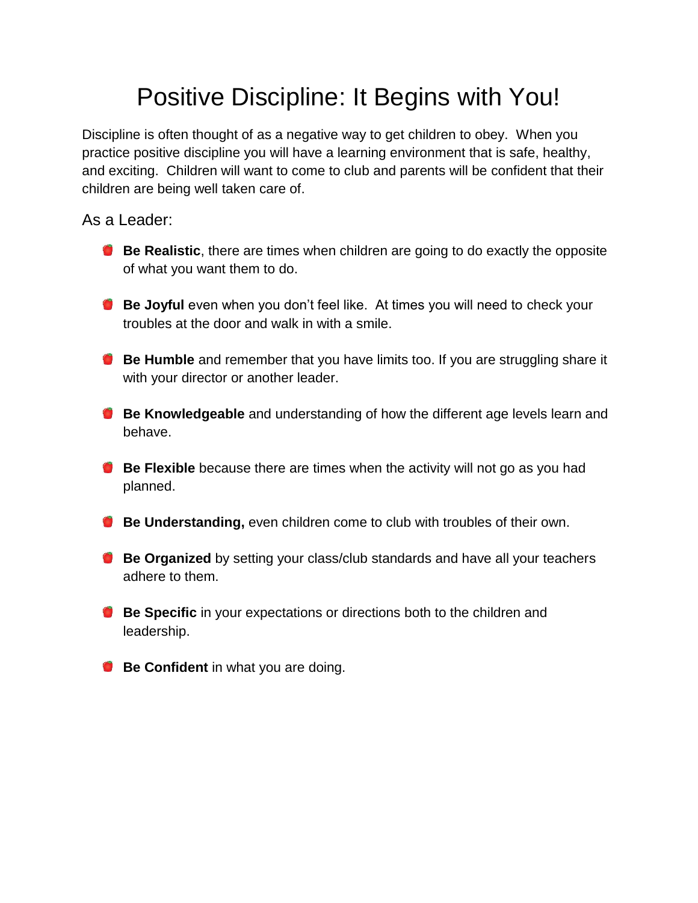# Positive Discipline: It Begins with You!

Discipline is often thought of as a negative way to get children to obey. When you practice positive discipline you will have a learning environment that is safe, healthy, and exciting. Children will want to come to club and parents will be confident that their children are being well taken care of.

As a Leader:

- **Be Realistic**, there are times when children are going to do exactly the opposite of what you want them to do.
- **Be Joyful** even when you don't feel like. At times you will need to check your troubles at the door and walk in with a smile.
- **Be Humble** and remember that you have limits too. If you are struggling share it with your director or another leader.
- **Be Knowledgeable** and understanding of how the different age levels learn and behave.
- **Be Flexible** because there are times when the activity will not go as you had planned.
- **Be Understanding,** even children come to club with troubles of their own.
- **Be Organized** by setting your class/club standards and have all your teachers adhere to them.
- **Be Specific** in your expectations or directions both to the children and leadership.
- **Be Confident** in what you are doing.